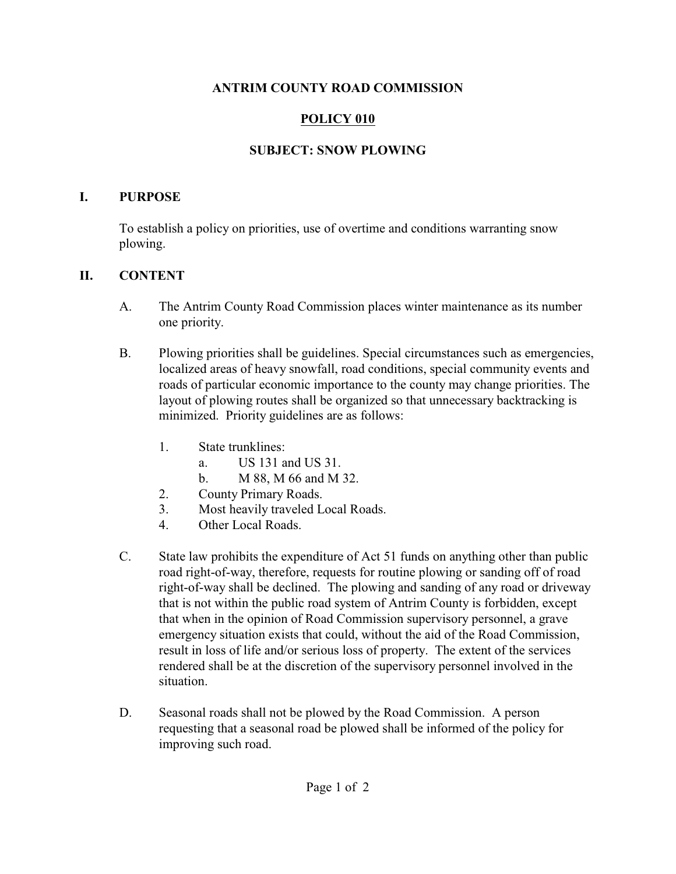#### **ANTRIM COUNTY ROAD COMMISSION**

# **POLICY 010**

## **SUBJECT: SNOW PLOWING**

#### **I. PURPOSE**

To establish a policy on priorities, use of overtime and conditions warranting snow plowing.

### **II. CONTENT**

- A. The Antrim County Road Commission places winter maintenance as its number one priority.
- B. Plowing priorities shall be guidelines. Special circumstances such as emergencies, localized areas of heavy snowfall, road conditions, special community events and roads of particular economic importance to the county may change priorities. The layout of plowing routes shall be organized so that unnecessary backtracking is minimized. Priority guidelines are as follows:
	- 1. State trunklines:
		- a. US 131 and US 31.
		- b. M 88, M 66 and M 32.
	- 2. County Primary Roads.
	- 3. Most heavily traveled Local Roads.
	- 4. Other Local Roads.
- C. State law prohibits the expenditure of Act 51 funds on anything other than public road right-of-way, therefore, requests for routine plowing or sanding off of road right-of-way shall be declined. The plowing and sanding of any road or driveway that is not within the public road system of Antrim County is forbidden, except that when in the opinion of Road Commission supervisory personnel, a grave emergency situation exists that could, without the aid of the Road Commission, result in loss of life and/or serious loss of property. The extent of the services rendered shall be at the discretion of the supervisory personnel involved in the situation.
- D. Seasonal roads shall not be plowed by the Road Commission. A person requesting that a seasonal road be plowed shall be informed of the policy for improving such road.